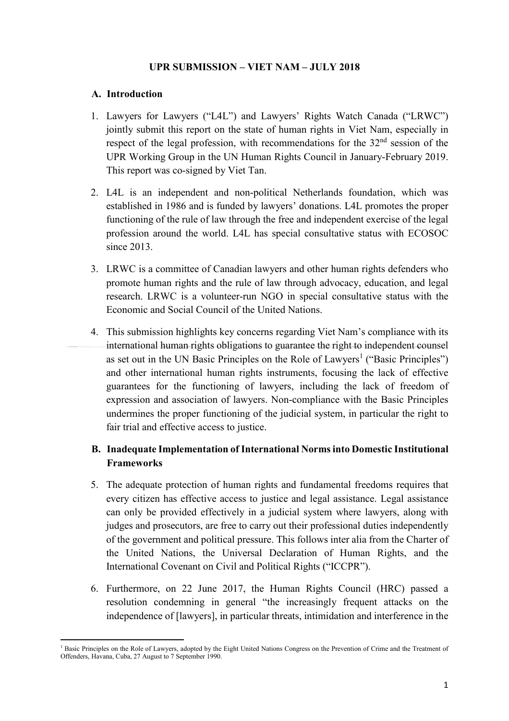## **UPR SUBMISSION – VIET NAM – JULY 2018**

#### **A. Introduction**

- 1. Lawyers for Lawyers ("L4L") and Lawyers' Rights Watch Canada ("LRWC") jointly submit this report on the state of human rights in Viet Nam, especially in respect of the legal profession, with recommendations for the 32<sup>nd</sup> session of the UPR Working Group in the UN Human Rights Council in January-February 2019. This report was co-signed by Viet Tan.
- 2. L4L is an independent and non-political Netherlands foundation, which was established in 1986 and is funded by lawyers' donations. L4L promotes the proper functioning of the rule of law through the free and independent exercise of the legal profession around the world. L4L has special consultative status with ECOSOC since 2013.
- 3. LRWC is a committee of Canadian lawyers and other human rights defenders who promote human rights and the rule of law through advocacy, education, and legal research. LRWC is a volunteer-run NGO in special consultative status with the Economic and Social Council of the United Nations.
- 4. This submission highlights key concerns regarding Viet Nam's compliance with its international human rights obligations to guarantee the right to independent counsel as set out in the UN Basic Principles on the Role of Lawyers<sup>1</sup> ("Basic Principles") and other international human rights instruments, focusing the lack of effective guarantees for the functioning of lawyers, including the lack of freedom of expression and association of lawyers. Non-compliance with the Basic Principles undermines the proper functioning of the judicial system, in particular the right to fair trial and effective access to justice.

# **B. Inadequate Implementation of International Normsinto Domestic Institutional Frameworks**

- 5. The adequate protection of human rights and fundamental freedoms requires that every citizen has effective access to justice and legal assistance. Legal assistance can only be provided effectively in a judicial system where lawyers, along with judges and prosecutors, are free to carry out their professional duties independently of the government and political pressure. This follows inter alia from the Charter of the United Nations, the Universal Declaration of Human Rights, and the International Covenant on Civil and Political Rights ("ICCPR").
- 6. Furthermore, on 22 June 2017, the Human Rights Council (HRC) passed a resolution condemning in general "the increasingly frequent attacks on the independence of [lawyers], in particular threats, intimidation and interference in the

 $\overline{a}$ <sup>1</sup> Basic Principles on the Role of Lawyers, adopted by the Eight United Nations Congress on the Prevention of Crime and the Treatment of Offenders, Havana, Cuba, 27 August to 7 September 1990.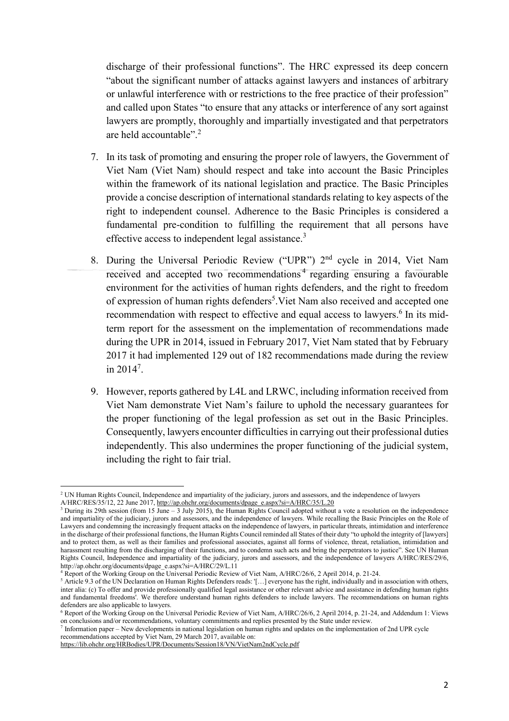discharge of their professional functions". The HRC expressed its deep concern "about the significant number of attacks against lawyers and instances of arbitrary or unlawful interference with or restrictions to the free practice of their profession" and called upon States "to ensure that any attacks or interference of any sort against lawyers are promptly, thoroughly and impartially investigated and that perpetrators are held accountable".<sup>2</sup>

- 7. In its task of promoting and ensuring the proper role of lawyers, the Government of Viet Nam (Viet Nam) should respect and take into account the Basic Principles within the framework of its national legislation and practice. The Basic Principles provide a concise description of international standards relating to key aspects of the right to independent counsel. Adherence to the Basic Principles is considered a fundamental pre-condition to fulfilling the requirement that all persons have effective access to independent legal assistance.<sup>3</sup>
- 8. During the Universal Periodic Review ("UPR") 2<sup>nd</sup> cycle in 2014, Viet Nam received and accepted two recommendations<sup>4</sup> regarding ensuring a favourable environment for the activities of human rights defenders, and the right to freedom of expression of human rights defenders<sup>5</sup>. Viet Nam also received and accepted one recommendation with respect to effective and equal access to lawyers.<sup>6</sup> In its midterm report for the assessment on the implementation of recommendations made during the UPR in 2014, issued in February 2017, Viet Nam stated that by February 2017 it had implemented 129 out of 182 recommendations made during the review in  $2014^7$ .
- 9. However, reports gathered by L4L and LRWC, including information received from Viet Nam demonstrate Viet Nam's failure to uphold the necessary guarantees for the proper functioning of the legal profession as set out in the Basic Principles. Consequently, lawyers encounter difficulties in carrying out their professional duties independently. This also undermines the proper functioning of the judicial system, including the right to fair trial.

<sup>&</sup>lt;sup>2</sup> UN Human Rights Council, Independence and impartiality of the judiciary, jurors and assessors, and the independence of lawyers A/HRC/RES/35/12, 22 June 2017, [http://ap.ohchr.org/documents/dpage\\_e.aspx?si=A/HRC/35/L.20](http://ap.ohchr.org/documents/dpage_e.aspx?si=A/HRC/35/L.20)

<sup>&</sup>lt;sup>3</sup> During its 29th session (from 15 June – 3 July 2015), the Human Rights Council adopted without a vote a resolution on the independence and impartiality of the judiciary, jurors and assessors, and the independence of lawyers. While recalling the Basic Principles on the Role of Lawyers and condemning the increasingly frequent attacks on the independence of lawyers, in particular threats, intimidation and interference in the discharge of their professional functions, the Human Rights Council reminded all States of their duty "to uphold the integrity of [lawyers] and to protect them, as well as their families and professional associates, against all forms of violence, threat, retaliation, intimidation and harassment resulting from the discharging of their functions, and to condemn such acts and bring the perpetrators to justice". See UN Human Rights Council, Independence and impartiality of the judiciary, jurors and assessors, and the independence of lawyers A/HRC/RES/29/6, [http://ap.ohchr.org/documents/dpage\\_e.aspx?si=A/HRC/29/L.11](http://ap.ohchr.org/documents/dpage_e.aspx?si=A/HRC/29/L.11)

<sup>4</sup> Report of the Working Group on the Universal Periodic Review of Viet Nam, A/HRC/26/6, 2 April 2014, p. 21-24.

<sup>5</sup> Article 9.3 of the UN Declaration on Human Rights Defenders reads: '[…] everyone has the right, individually and in association with others, inter alia: (c) To offer and provide professionally qualified legal assistance or other relevant advice and assistance in defending human rights and fundamental freedoms'. We therefore understand human rights defenders to include lawyers. The recommendations on human rights defenders are also applicable to lawyers.

<sup>6</sup> Report of the Working Group on the Universal Periodic Review of Viet Nam, A/HRC/26/6, 2 April 2014, p. 21-24, and Addendum 1: Views on conclusions and/or recommendations, voluntary commitments and replies presented by the State under review.<br><sup>7</sup> Information paper – New developments in national legislation on human rights and updates on the implementati

recommendations accepted by Viet Nam, 29 March 2017, available on:

<https://lib.ohchr.org/HRBodies/UPR/Documents/Session18/VN/VietNam2ndCycle.pdf>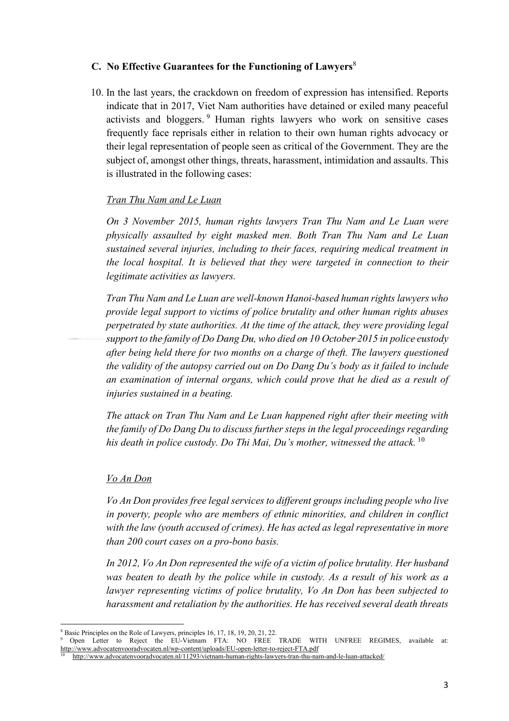## **C. No Effective Guarantees for the Functioning of Lawyers**<sup>8</sup>

10. In the last years, the crackdown on freedom of expression has intensified. Reports indicate that in 2017, Viet Nam authorities have detained or exiled many peaceful activists and bloggers. <sup>9</sup> Human rights lawyers who work on sensitive cases frequently face reprisals either in relation to their own human rights advocacy or their legal representation of people seen as critical of the Government. They are the subject of, amongst other things, threats, harassment, intimidation and assaults. This is illustrated in the following cases:

## *Tran Thu Nam and Le Luan*

*On 3 November 2015, human rights lawyers Tran Thu Nam and Le Luan were physically assaulted by eight masked men. Both Tran Thu Nam and Le Luan sustained several injuries, including to their faces, requiring medical treatment in the local hospital. It is believed that they were targeted in connection to their legitimate activities as lawyers.*

*Tran Thu Nam and Le Luan are well-known Hanoi-based human rights lawyers who provide legal support to victims of police brutality and other human rights abuses perpetrated by state authorities. At the time of the attack, they were providing legal support to the family of Do Dang Du, who died on 10 October 2015 in police custody after being held there for two months on a charge of theft. The lawyers questioned the validity of the autopsy carried out on Do Dang Du's body as it failed to include an examination of internal organs, which could prove that he died as a result of injuries sustained in a beating.*

*The attack on Tran Thu Nam and Le Luan happened right after their meeting with the family of Do Dang Du to discuss further steps in the legal proceedings regarding his death in police custody. Do Thi Mai, Du's mother, witnessed the attack.* <sup>10</sup>

#### *Vo An Don*

*Vo An Don provides free legal services to different groups including people who live in poverty, people who are members of ethnic minorities, and children in conflict with the law (youth accused of crimes). He has acted as legal representative in more than 200 court cases on a pro-bono basis.*

*In 2012, Vo An Don represented the wife of a victim of police brutality. Her husband was beaten to death by the police while in custody. As a result of his work as a lawyer representing victims of police brutality, Vo An Don has been subjected to harassment and retaliation by the authorities. He has received several death threats*

<sup>9</sup> Open Letter to Reject the EU-Vietnam FTA: NO FREE TRADE WITH UNFREE REGIMES, available at: <http://www.advocatenvooradvocaten.nl/wp-content/uploads/EU-open-letter-to-reject-FTA.pdf>

 $\overline{a}$ <sup>8</sup> Basic Principles on the Role of Lawyers, principles 16, 17, 18, 19, 20, 21, 22.

<sup>10</sup> <http://www.advocatenvooradvocaten.nl/11293/vietnam-human-rights-lawyers-tran-thu-nam-and-le-luan-attacked/>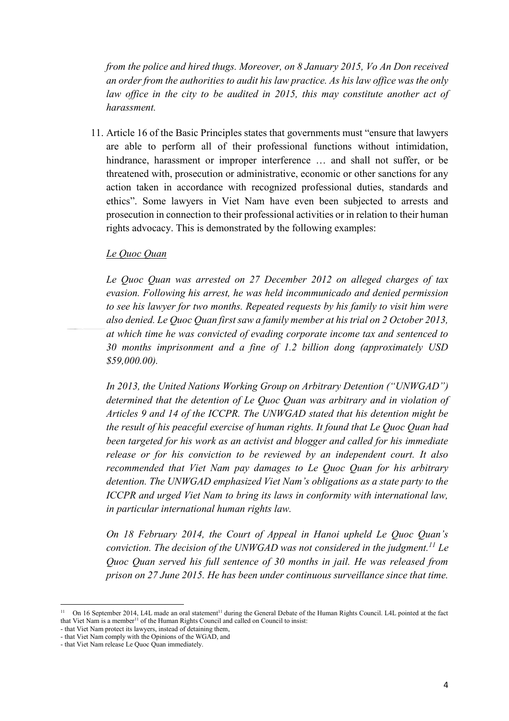*from the police and hired thugs. Moreover, on 8 January 2015, Vo An Don received an order from the authorities to audit his law practice. As his law office was the only law office in the city to be audited in 2015, this may constitute another act of harassment.*

11. Article 16 of the Basic Principles states that governments must "ensure that lawyers are able to perform all of their professional functions without intimidation, hindrance, harassment or improper interference ... and shall not suffer, or be threatened with, prosecution or administrative, economic or other sanctions for any action taken in accordance with recognized professional duties, standards and ethics". Some lawyers in Viet Nam have even been subjected to arrests and prosecution in connection to their professional activities or in relation to their human rights advocacy. This is demonstrated by the following examples:

### *Le Quoc Quan*

*Le Quoc Quan was arrested on 27 December 2012 on alleged charges of tax evasion. Following his arrest, he was held incommunicado and denied permission to see his lawyer for two months. Repeated requests by his family to visit him were also denied. Le Quoc Quan first saw a family member at his trial on 2 October 2013, at which time he was convicted of evading corporate income tax and sentenced to 30 months imprisonment and a fine of 1.2 billion dong (approximately USD \$59,000.00).* 

*In 2013, the United Nations Working Group on Arbitrary Detention ("UNWGAD") determined that the detention of Le Quoc Quan was arbitrary and in violation of Articles 9 and 14 of the ICCPR. The UNWGAD stated that his detention might be the result of his peaceful exercise of human rights. It found that Le Quoc Quan had been targeted for his work as an activist and blogger and called for his immediate release or for his conviction to be reviewed by an independent court. It also recommended that Viet Nam pay damages to Le Quoc Quan for his arbitrary detention. The UNWGAD emphasized Viet Nam's obligations as a state party to the ICCPR and urged Viet Nam to bring its laws in conformity with international law, in particular international human rights law.*

*On 18 February 2014, the Court of Appeal in Hanoi upheld Le Quoc Quan's conviction. The decision of the UNWGAD was not considered in the judgment.<sup>11</sup> Le Quoc Quan served his full sentence of 30 months in jail. He was released from prison on 27 June 2015. He has been under continuous surveillance since that time.* 

<sup>&</sup>lt;sup>11</sup> On 16 September 2014, L4L made an oral statement<sup>11</sup> during the General Debate of the Human Rights Council. L4L pointed at the fact that Viet Nam is a member<sup>11</sup> of the Human Rights Council and called on Council to insist:

<sup>-</sup> that Viet Nam protect its lawyers, instead of detaining them, - that Viet Nam comply with the Opinions of the WGAD, and

<sup>-</sup> that Viet Nam release Le Quoc Quan immediately.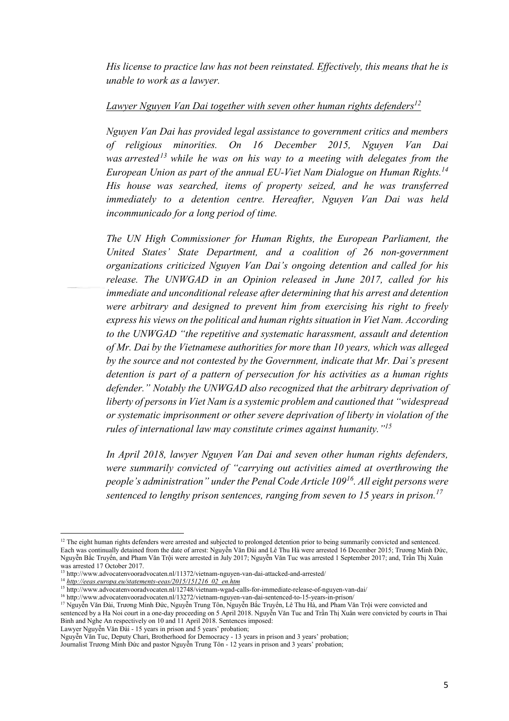*His license to practice law has not been reinstated. Effectively, this means that he is unable to work as a lawyer.*

# *Lawyer Nguyen Van Dai together with seven other human rights defenders 12*

*Nguyen Van Dai has provided legal assistance to government critics and members of religious minorities. On 16 December 2015, Nguyen Van Dai was arrested<sup>13</sup> while he was on his way to a meeting with delegates from the European Union as part of the annual EU-Viet Nam Dialogue on Human Rights. 14 His house was searched, items of property seized, and he was transferred immediately to a detention centre. Hereafter, Nguyen Van Dai was held incommunicado for a long period of time.*

*The UN High Commissioner for Human Rights, the European Parliament, the United States' State Department, and a coalition of 26 non-government organizations criticized Nguyen Van Dai's ongoing detention and called for his release. The UNWGAD in an Opinion released in June 2017, called for his immediate and unconditional release after determining that his arrest and detention were arbitrary and designed to prevent him from exercising his right to freely express his views on the political and human rights situation in Viet Nam. According to the UNWGAD "the repetitive and systematic harassment, assault and detention of Mr. Dai by the Vietnamese authorities for more than 10 years, which was alleged by the source and not contested by the Government, indicate that Mr. Dai's present detention is part of a pattern of persecution for his activities as a human rights defender." Notably the UNWGAD also recognized that the arbitrary deprivation of liberty of persons in Viet Nam is a systemic problem and cautioned that "widespread or systematic imprisonment or other severe deprivation of liberty in violation of the rules of international law may constitute crimes against humanity."<sup>15</sup>*

*In April 2018, lawyer Nguyen Van Dai and seven other human rights defenders, were summarily convicted of "carrying out activities aimed at overthrowing the people's administration" under the Penal Code Article 109<sup>16</sup>. All eight persons were sentenced to lengthy prison sentences, ranging from seven to 15 years in prison.<sup>17</sup>* 

Lawyer Nguyễn Văn Đài - 15 years in prison and 5 years' probation;

 $\overline{a}$ <sup>12</sup> The eight human rights defenders were arrested and subjected to prolonged detention prior to being summarily convicted and sentenced. Each was continually detained from the date of arrest: Nguyễn Văn Đài and Lê Thu Hà were arrested 16 December 2015; Trương Minh Đức, Nguyễn Bắc Truyển, and Pham Văn Trội were arrested in July 2017; Nguyễn Văn Tuc was arrested 1 September 2017; and, Trần Thị Xuân was arrested 17 October 2017.

<sup>&</sup>lt;sup>13</sup> http://www.advocatenvooradvocaten.nl/11372/vietnam-nguyen-van-dai-attacked-and-arrested/

<sup>14</sup> *[http://eeas.europa.eu/statements-eeas/2015/151216\\_02\\_en.htm](http://eeas.europa.eu/statements-eeas/2015/151216_02_en.htm)*

<sup>15</sup> http://www.advocatenvooradvocaten.nl/12748/vietnam-wgad-calls-for-immediate-release-of-nguyen-van-dai/

<sup>16</sup> http://www.advocatenvooradvocaten.nl/13272/vietnam-nguyen-van-dai-sentenced-to-15-years-in-prison/

<sup>&</sup>lt;sup>17</sup> Nguyễn Văn Đài, Trương Minh Đức, Nguyễn Trung Tôn, Nguyễn Bắc Truyền, Lê Thu Hà, and Pham Văn Trội were convicted and sentenced by a Ha Noi court in a one-day proceeding on 5 April 2018. Nguyễn Văn Tuc and Trần Thị Xuân were convicted by courts in Thai Binh and Nghe An respectively on 10 and 11 April 2018. Sentences imposed:

Nguyễn Văn Tuc, Deputy Chari, Brotherhood for Democracy - 13 years in prison and 3 years' probation;

Journalist Trương Minh Đức and pastor Nguyễn Trung Tôn - 12 years in prison and 3 years' probation;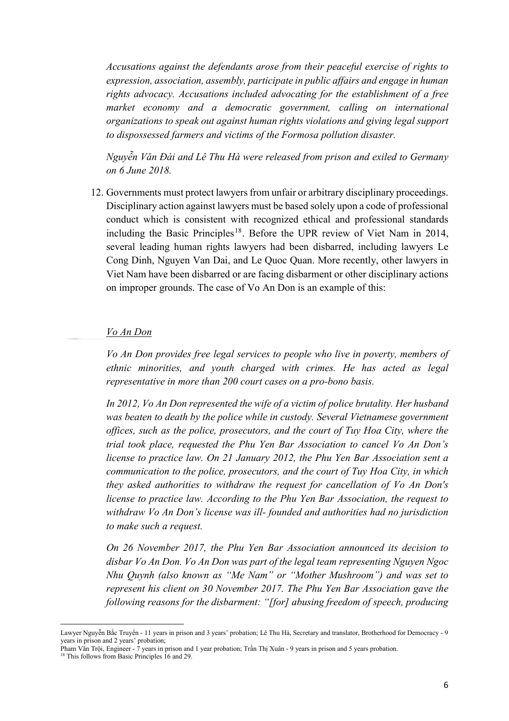*Accusations against the defendants arose from their peaceful exercise of rights to expression, association, assembly, participate in public affairs and engage in human rights advocacy. Accusations included advocating for the establishment of a free market economy and a democratic government, calling on international organizations to speak out against human rights violations and giving legal support to dispossessed farmers and victims of the Formosa pollution disaster.*

*Nguyễn Văn Đài and Lê Thu Hà were released from prison and exiled to Germany on 6 June 2018.*

12. Governments must protect lawyers from unfair or arbitrary disciplinary proceedings. Disciplinary action against lawyers must be based solely upon a code of professional conduct which is consistent with recognized ethical and professional standards including the Basic Principles<sup>18</sup>. Before the UPR review of Viet Nam in 2014, several leading human rights lawyers had been disbarred, including lawyers Le Cong Dinh, Nguyen Van Dai, and Le Quoc Quan. More recently, other lawyers in Viet Nam have been disbarred or are facing disbarment or other disciplinary actions on improper grounds. The case of Vo An Don is an example of this:

#### *Vo An Don*

*Vo An Don provides free legal services to people who live in poverty, members of ethnic minorities, and youth charged with crimes. He has acted as legal representative in more than 200 court cases on a pro-bono basis.*

*In 2012, Vo An Don represented the wife of a victim of police brutality. Her husband was beaten to death by the police while in custody. Several Vietnamese government offices, such as the police, prosecutors, and the court of Tuy Hoa City, where the trial took place, requested the Phu Yen Bar Association to cancel Vo An Don's license to practice law. On 21 January 2012, the Phu Yen Bar Association sent a communication to the police, prosecutors, and the court of Tuy Hoa City, in which they asked authorities to withdraw the request for cancellation of Vo An Don's license to practice law. According to the Phu Yen Bar Association, the request to withdraw Vo An Don's license was ill- founded and authorities had no jurisdiction to make such a request.*

*On 26 November 2017, the Phu Yen Bar Association announced its decision to disbar Vo An Don. Vo An Don was part of the legal team representing Nguyen Ngoc Nhu Quynh (also known as "Me Nam" or "Mother Mushroom") and was set to represent his client on 30 November 2017. The Phu Yen Bar Association gave the following reasons for the disbarment: "[for] abusing freedom of speech, producing*

Lawyer Nguyễn Bắc Truyển - 11 years in prison and 3 years' probation; Lê Thu Hà, Secretary and translator, Brotherhood for Democracy - 9 years in prison and 2 years' probation;

Pham Văn Trội, Engineer - 7 years in prison and 1 year probation; Trần Thị Xuân - 9 years in prison and 5 years probation.

 $18$  This follows from Basic Principles 16 and 29.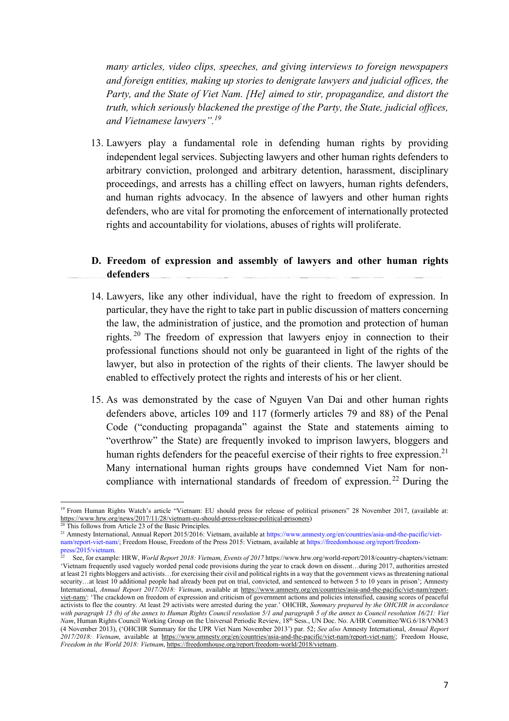*many articles, video clips, speeches, and giving interviews to foreign newspapers and foreign entities, making up stories to denigrate lawyers and judicial offices, the Party, and the State of Viet Nam. [He] aimed to stir, propagandize, and distort the truth, which seriously blackened the prestige of the Party, the State, judicial offices, and Vietnamese lawyers".<sup>19</sup>*

13. Lawyers play a fundamental role in defending human rights by providing independent legal services. Subjecting lawyers and other human rights defenders to arbitrary conviction, prolonged and arbitrary detention, harassment, disciplinary proceedings, and arrests has a chilling effect on lawyers, human rights defenders, and human rights advocacy. In the absence of lawyers and other human rights defenders, who are vital for promoting the enforcement of internationally protected rights and accountability for violations, abuses of rights will proliferate.

## **D. Freedom of expression and assembly of lawyers and other human rights defenders**

- 14. Lawyers, like any other individual, have the right to freedom of expression. In particular, they have the right to take part in public discussion of matters concerning the law, the administration of justice, and the promotion and protection of human rights. <sup>20</sup> The freedom of expression that lawyers enjoy in connection to their professional functions should not only be guaranteed in light of the rights of the lawyer, but also in protection of the rights of their clients. The lawyer should be enabled to effectively protect the rights and interests of his or her client.
- 15. As was demonstrated by the case of Nguyen Van Dai and other human rights defenders above, articles 109 and 117 (formerly articles 79 and 88) of the Penal Code ("conducting propaganda" against the State and statements aiming to "overthrow" the State) are frequently invoked to imprison lawyers, bloggers and human rights defenders for the peaceful exercise of their rights to free expression.<sup>21</sup> Many international human rights groups have condemned Viet Nam for noncompliance with international standards of freedom of expression.<sup>22</sup> During the

 $\overline{a}$ <sup>19</sup> From Human Rights Watch's article "Vietnam: EU should press for release of political prisoners" 28 November 2017, (available at: [https://www.hrw.org/news/2017/11/28/vietnam-eu-should-press-release-political-prisoners\)](https://www.hrw.org/news/2017/11/28/vietnam-eu-should-press-release-political-prisoners)

This follows from Article 23 of the Basic Principles.

<sup>&</sup>lt;sup>21</sup> Amnesty International, Annual Report 2015/2016: Vietnam, available at https://www.amnesty.org/en/countries/asia-and-the-pacific/vietnam/report-viet-nam/; Freedom House, Freedom of the Press 2015: Vietnam, available at https://freedomhouse.org/report/freedompress/2015/vietnam.

<sup>22</sup> See, for example: HRW, *World Report 2018: Vietnam, Events of 2017* https://www.hrw.org/world-report/2018/country-chapters/vietnam: 'Vietnam frequently used vaguely worded penal code provisions during the year to crack down on dissent…during 2017, authorities arrested at least 21 rights bloggers and activists…for exercising their civil and political rights in a way that the government views as threatening national security...at least 10 additional people had already been put on trial, convicted, and sentenced to between 5 to 10 years in prison'; Amnesty International, *Annual Report 2017/2018: Vietnam*, available at [https://www.amnesty.org/en/countries/asia-and-the-pacific/viet-nam/report](https://www.amnesty.org/en/countries/asia-and-the-pacific/viet-nam/report-viet-nam/#endnote-2)[viet-nam/:](https://www.amnesty.org/en/countries/asia-and-the-pacific/viet-nam/report-viet-nam/#endnote-2) 'The crackdown on freedom of expression and criticism of government actions and policies intensified, causing scores of peaceful activists to flee the country. At least 29 activists were arrested during the year.' OHCHR, *Summary prepared by the OHCHR in accordance* with paragraph 15 (b) of the annex to Human Rights Council resolution 5/1 and paragraph 5 of the annex to Council resolution 16/21: Viet *Nam*, Human Rights Council Working Group on the Universal Periodic Review, 18<sup>th</sup> Sess., UN Doc. No. A/HR Committee/WG.6/18/VNM/3 (4 November 2013), ('OHCHR Summary for the UPR Viet Nam November 2013') par. 52; *See also* Amnesty International, *Annual Report 2017/2018: Vietnam*, available at [https://www.amnesty.org/en/countries/asia-and-the-pacific/viet-nam/report-viet-nam/;](https://www.amnesty.org/en/countries/asia-and-the-pacific/viet-nam/report-viet-nam/#endnote-2) Freedom House, *Freedom in the World 2018: Vietnam*, [https://freedomhouse.org/report/freedom-world/2018/vietnam.](https://freedomhouse.org/report/freedom-world/2018/vietnam)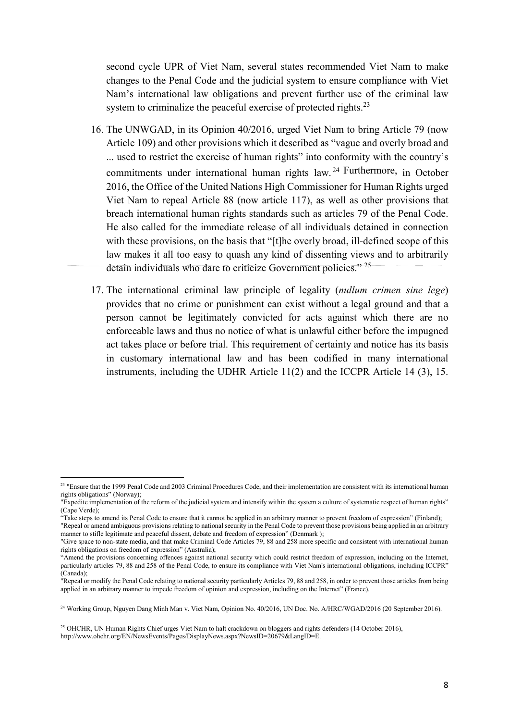second cycle UPR of Viet Nam, several states recommended Viet Nam to make changes to the Penal Code and the judicial system to ensure compliance with Viet Nam's international law obligations and prevent further use of the criminal law system to criminalize the peaceful exercise of protected rights.<sup>23</sup>

- 16. The UNWGAD, in its Opinion 40/2016, urged Viet Nam to bring Article 79 (now Article 109) and other provisions which it described as "vague and overly broad and ... used to restrict the exercise of human rights" into conformity with the country's commitments under international human rights law. <sup>24</sup> Furthermore, in October 2016, the Office of the United Nations High Commissioner for Human Rights urged Viet Nam to repeal Article 88 (now article 117), as well as other provisions that breach international human rights standards such as articles 79 of the Penal Code. He also called for the immediate release of all individuals detained in connection with these provisions, on the basis that "[t]he overly broad, ill-defined scope of this law makes it all too easy to quash any kind of dissenting views and to arbitrarily detain individuals who dare to criticize Government policies."<sup>25</sup>
- 17. The international criminal law principle of legality (*nullum crimen sine lege*) provides that no crime or punishment can exist without a legal ground and that a person cannot be legitimately convicted for acts against which there are no enforceable laws and thus no notice of what is unlawful either before the impugned act takes place or before trial. This requirement of certainty and notice has its basis in customary international law and has been codified in many international instruments, including the UDHR Article 11(2) and the ICCPR Article 14 (3), 15.

<sup>&</sup>lt;sup>23</sup> "Ensure that the 1999 Penal Code and 2003 Criminal Procedures Code, and their implementation are consistent with its international human rights obligations" (Norway);

<sup>&</sup>quot;Expedite implementation of the reform of the judicial system and intensify within the system a culture of systematic respect of human rights" (Cape Verde);

<sup>&</sup>quot;Take steps to amend its Penal Code to ensure that it cannot be applied in an arbitrary manner to prevent freedom of expression" (Finland);

<sup>&</sup>quot;Repeal or amend ambiguous provisions relating to national security in the Penal Code to prevent those provisions being applied in an arbitrary manner to stifle legitimate and peaceful dissent, debate and freedom of expression" (Denmark );

<sup>&</sup>quot;Give space to non-state media, and that make Criminal Code Articles 79, 88 and 258 more specific and consistent with international human rights obligations on freedom of expression" (Australia);

<sup>&</sup>quot;Amend the provisions concerning offences against national security which could restrict freedom of expression, including on the Internet, particularly articles 79, 88 and 258 of the Penal Code, to ensure its compliance with Viet Nam's international obligations, including ICCPR" (Canada);

<sup>&</sup>quot;Repeal or modify the Penal Code relating to national security particularly Articles 79, 88 and 258, in order to prevent those articles from being applied in an arbitrary manner to impede freedom of opinion and expression, including on the Internet" (France).

<sup>&</sup>lt;sup>24</sup> Working Group, Nguyen Dang Minh Man v. Viet Nam, Opinion No. 40/2016, UN Doc. No. A/HRC/WGAD/2016 (20 September 2016).

<sup>&</sup>lt;sup>25</sup> OHCHR, UN Human Rights Chief urges Viet Nam to halt crackdown on bloggers and rights defenders (14 October 2016), http://www.ohchr.org/EN/NewsEvents/Pages/DisplayNews.aspx?NewsID=20679&LangID=E.